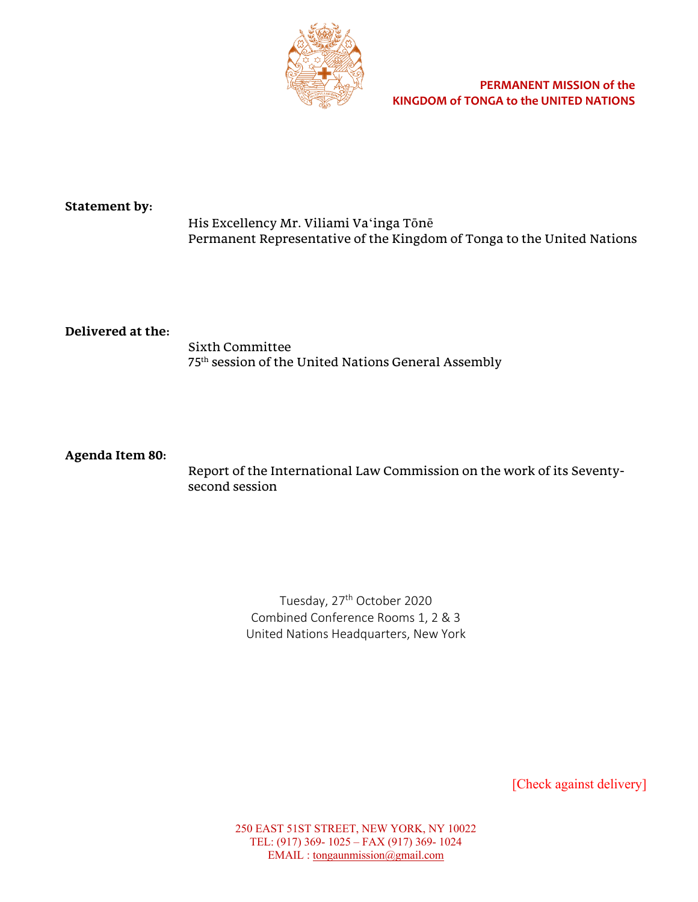

# **Statement by:**

His Excellency Mr. Viliami Vaʻinga Tōnē Permanent Representative of the Kingdom of Tonga to the United Nations

# **Delivered at the:**

Sixth Committee 75th session of the United Nations General Assembly

## **Agenda Item 80:**

Report of the International Law Commission on the work of its Seventysecond session

> Tuesday, 27<sup>th</sup> October 2020 Combined Conference Rooms 1, 2 & 3 United Nations Headquarters, New York

> > [Check against delivery]